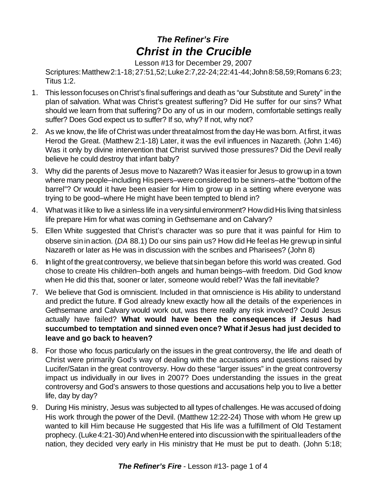## *The Refiner's Fire Christ in the Crucible*

Lesson #13 for December 29, 2007

Scriptures:Matthew2:1-18;27:51,52;Luke2:7,22-24;22:41-44;John8:58,59;Romans 6:23; Titus 1:2.

- 1. This lessonfocuses onChrist's finalsufferings and death as "our Substitute and Surety" in the plan of salvation. What was Christ's greatest suffering? Did He suffer for our sins? What should we learn from that suffering? Do any of us in our modern, comfortable settings really suffer? Does God expect us to suffer? If so, why? If not, why not?
- 2. As we know, the life of Christ was under threat almost from the day He was born. At first, it was Herod the Great. (Matthew 2:1-18) Later, it was the evil influences in Nazareth. (John 1:46) Was it only by divine intervention that Christ survived those pressures? Did the Devil really believe he could destroy that infant baby?
- 3. Why did the parents of Jesus move to Nazareth? Was it easier for Jesus to growup in a town where many people–including Hispeers–were considered to be sinners–at the "bottom of the barrel"? Or would it have been easier for Him to grow up in a setting where everyone was trying to be good–where He might have been tempted to blend in?
- 4. Whatwas it like to live a sinless life in a verysinful environment? HowdidHis living thatsinless life prepare Him for what was coming in Gethsemane and on Calvary?
- 5. Ellen White suggested that Christ's character was so pure that it was painful for Him to observe sinin action. (*DA* 88.1) Do our sins pain us? How did He feelas He grewup in sinful Nazareth or later as He was in discussion with the scribes and Pharisees? (John 8)
- 6. In light of the great controversy, we believe thatsinbegan before this world was created. God chose to create His children–both angels and human beings–with freedom. Did God know when He did this that, sooner or later, someone would rebel? Was the fall inevitable?
- 7. We believe that God is omniscient. Included in that omniscience is His ability to understand and predict the future. If God already knew exactly how all the details of the experiences in Gethsemane and Calvary would work out, was there really any risk involved? Could Jesus actually have failed? **What would have been the consequences if Jesus had succumbed to temptation and sinned even once? What if Jesus had just decided to leave and go back to heaven?**
- 8. For those who focus particularly on the issues in the great controversy, the life and death of Christ were primarily God's way of dealing with the accusations and questions raised by Lucifer/Satan in the great controversy. How do these "larger issues" in the great controversy impact us individually in our lives in 2007? Does understanding the issues in the great controversy and God's answers to those questions and accusations help you to live a better life, day by day?
- 9. During His ministry, Jesus was subjected to all types of challenges. He was accused of doing His work through the power of the Devil. (Matthew 12:22-24) Those with whom He grew up wanted to kill Him because He suggested that His life was a fulfillment of Old Testament prophecy. (Luke 4:21-30) And when He entered into discussion with the spiritual leaders of the nation, they decided very early in His ministry that He must be put to death. (John 5:18;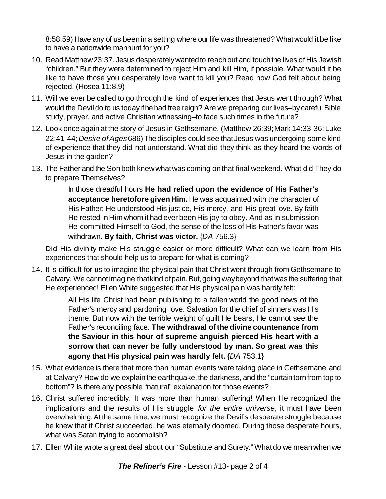8:58,59) Have any of us beenin a setting where our life was threatened? Whatwould it be like to have a nationwide manhunt for you?

- 10. Read Matthew23:37. Jesus desperatelywantedto reachout and touchthe lives of His Jewish "children." But they were determined to reject Him and kill Him, if possible. What would it be like to have those you desperately love want to kill you? Read how God felt about being rejected. (Hosea 11:8,9)
- 11. Will we ever be called to go through the kind of experiences that Jesus went through? What would the Devil do to us today if he had free reign? Are we preparing our lives–by careful Bible study, prayer, and active Christian witnessing–to face such times in the future?
- 12. Look once again at the story of Jesus in Gethsemane. (Matthew 26:39; Mark 14:33-36; Luke 22:41-44;*Desire ofAges*686)Thedisciples could see thatJesus was undergoing some kind of experience that they did not understand. What did they think as they heard the words of Jesus in the garden?
- 13. The Father and the Sonboth knewwhatwas coming onthat final weekend. What did They do to prepare Themselves?

In those dreadful hours **He had relied upon the evidence of His Father's acceptance heretofore given Him.** He was acquainted with the character of His Father; He understood His justice, His mercy, and His great love. By faith He rested in Him whom it had ever been His joy to obey. And as in submission He committed Himself to God, the sense of the loss of His Father's favor was withdrawn. **By faith, Christ was victor.** {*DA* 756.3}

Did His divinity make His struggle easier or more difficult? What can we learn from His experiences that should help us to prepare for what is coming?

14. It is difficult for us to imagine the physical pain that Christ went through from Gethsemane to Calvary. We cannot imagine that kind of pain. But, going way beyond that was the suffering that He experienced! Ellen White suggested that His physical pain was hardly felt:

> All His life Christ had been publishing to a fallen world the good news of the Father's mercy and pardoning love. Salvation for the chief of sinners was His theme. But now with the terrible weight of guilt He bears, He cannot see the Father's reconciling face. **The withdrawal ofthe divine countenance from the Saviour in this hour of supreme anguish pierced His heart with a sorrow that can never be fully understood by man. So great was this agony that His physical pain was hardly felt.** {*DA* 753.1}

- 15. What evidence is there that more than human events were taking place in Gethsemane and at Calvary? How do we explain the earthquake, the darkness, and the "curtain torn from top to bottom"? Is there any possible "natural" explanation for those events?
- 16. Christ suffered incredibly. It was more than human suffering! When He recognized the implications and the results of His struggle *for the entire universe*, it must have been overwhelming. At the same time, we must recognize the Devil's desperate struggle because he knew that if Christ succeeded, he was eternally doomed. During those desperate hours, what was Satan trying to accomplish?
- 17. Ellen White wrote a great deal about our "Substitute and Surety." Whatdo we meanwhenwe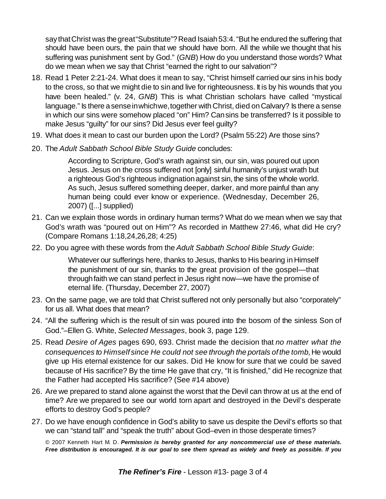say that Christ was the great "Substitute"? Read Isaiah 53:4. "But he endured the suffering that should have been ours, the pain that we should have born. All the while we thought that his suffering was punishment sent by God." (*GNB*) How do you understand those words? What do we mean when we say that Christ "earned the right to our salvation"?

- 18. Read 1 Peter 2:21-24. What does it mean to say, "Christ himself carried our sins in his body to the cross, so that we might die to sinand live for righteousness. It is by his wounds that you have been healed." (v. 24, *GNB*) This is what Christian scholars have called "mystical language." Is there a sense in which we, together with Christ, died on Calvary? Is there a sense in which our sins were somehow placed "on" Him? Cansins be transferred? Is it possible to make Jesus "guilty" for our sins? Did Jesus ever feel guilty?
- 19. What does it mean to cast our burden upon the Lord? (Psalm 55:22) Are those sins?
- 20. The *Adult Sabbath School Bible Study Guide* concludes:

According to Scripture, God's wrath against sin, our sin, was poured out upon Jesus. Jesus on the cross suffered not [only] sinful humanity's unjust wrath but a righteous God's righteous indignationagainst sin, the sins of the whole world. As such, Jesus suffered something deeper, darker, and more painful than any human being could ever know or experience. (Wednesday, December 26, 2007) ([...] supplied)

- 21. Can we explain those words in ordinary human terms? What do we mean when we say that God's wrath was "poured out on Him"? As recorded in Matthew 27:46, what did He cry? (Compare Romans 1:18,24,26,28; 4:25)
- 22. Do you agree with these words from the *Adult Sabbath School Bible Study Guide*:

Whatever our sufferings here, thanks to Jesus, thanks to His bearing in Himself the punishment of our sin, thanks to the great provision of the gospel—that throughfaith we can stand perfect in Jesus right now—we have the promise of eternal life. (Thursday, December 27, 2007)

- 23. On the same page, we are told that Christ suffered not only personally but also "corporately" for us all. What does that mean?
- 24. "All the suffering which is the result of sin was poured into the bosom of the sinless Son of God."–Ellen G. White, *Selected Messages*, book 3, page 129.
- 25. Read *Desire of Ages* pages 690, 693. Christ made the decision that *no matter what the consequences to Himself since He could not see through the portals of the tomb*, He would give up His eternal existence for our sakes. Did He know for sure that we could be saved because of His sacrifice? By the time He gave that cry, "It is finished," did He recognize that the Father had accepted His sacrifice? (See #14 above)
- 26. Are we prepared to stand alone against the worst that the Devil can throw at us at the end of time? Are we prepared to see our world torn apart and destroyed in the Devil's desperate efforts to destroy God's people?
- 27. Do we have enough confidence in God's ability to save us despite the Devil's efforts so that we can "stand tall" and "speak the truth" about God–even in those desperate times?

© 2007 Kenneth Hart M. D. *Permission is hereby granted for any noncommercial use of these materials.* Free distribution is encouraged. It is our goal to see them spread as widely and freely as possible. If you